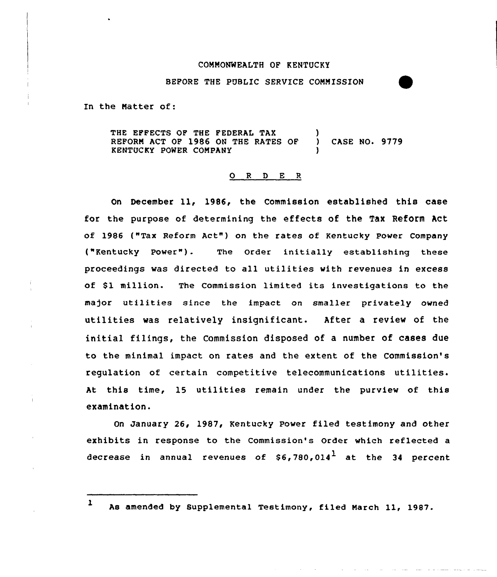### COMMONWEALTH OF KENTUCKY

BEPORE THE PUBLIC SERVICE COMMISSION

In the Natter of:

THE EFFECTS OF THE FEDERAL TAX REFORN ACT OP 1986 ON THE RATES OP ) CASE NO. 9779 KENTUCKY POWER COMPANY )

### 0 <sup>R</sup> <sup>D</sup> E <sup>R</sup>

On December ll, 1986, the Commission established this case for the purpose of determining the effects of the Tax Reform Act of 1986 ("Tax Reform Act") on the rates of Kentucky Power Company ("Kentucky Power"). The Order initially establishing these proceedings was directed to all utilities with revenues in excess of \$1 million. The Commission limited its investigations to the major utilities since the impact on smaller privately owned utilities was relatively insignificant. After a review of the initial filings, the Commission disposed of a number of cases due to the minimal impact on rates and the extent of the Commission's regulation of certain competitive telecommunications utilities. At this time, 15 utilities remain under the purview of this examination.

On January 26, 1987, Kentucky Power filed testimony and other exhibits in response to the Commission's Order which reflected a decrease in annual revenues of  $$6,780,014$  at the 34 percent

l As amended by Supplemental Testimony, filed March ll, 1987.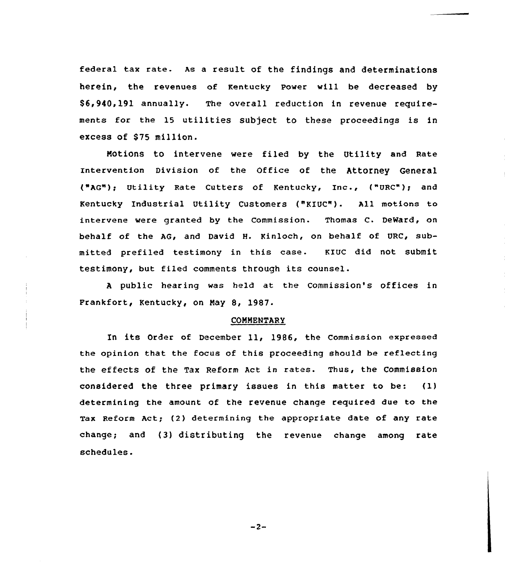federal tax rate. As <sup>a</sup> result of the findings and determinations herein, the revenues of Kentucky Power vill be decreased by \$ 6,940,191 annually. The overall reduction in revenue requirements for the 15 utilities subject to these proceedings is in excess of \$75 million.

Notions to intervene were filed by the Utility and Rate rntervention Division of the Office of the Attorney General ("AG"); Utility Rate Cutters of Kentucky, Inc., ("URC"); and Kentucky Industrial Utility Customers ("KIUC"). All motions to intervene were granted by the Commission. Thomas C. DeWard, on behalf of the AG, and David H. Kinloch, on behalf of URC, submitted prefiled testimony in this case. KXUC did not submit testimony, but filed comments through its counsel.

<sup>A</sup> public hearing was held at the Commission's offices in Frankfort, Kentucky, on Nay 8, 1987.

### **COMMENTARY**

In its Order of December 11, 1986, the commission expressed the opinion that the focus of this proceeding should be reflecting the effects of the Tax Reform Act in rates. Thus, the commission considered the three primary issues in this matter to be: (1) determining the amount of the revenue change required due to the Tax Reform Act; (2) determining the appropriate date of any rate change; and (3) distributing the revenue change among rate schedules.

 $-2-$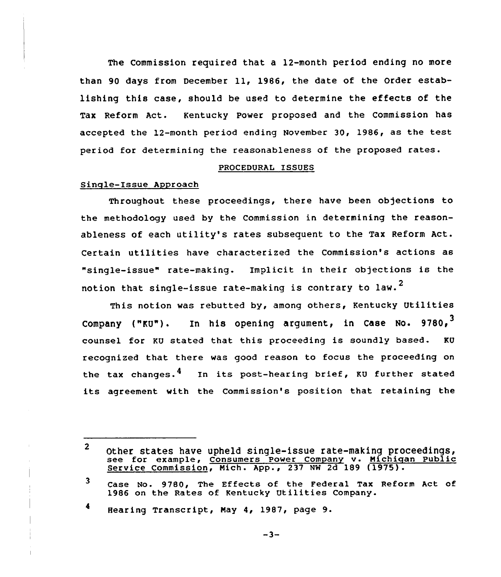The Commission required that a 12-month period ending no more than 90 days from December 11, 1986, the date of the Order establishing this case, should be used to determine the effects of the Tax Reform Act. Kentucky Power proposed and the Commission has accepted the 12-month period ending November 30, 1986, as the test period for determining the reasonableness of the proposed rates.

#### PROCEDURAL ISSUES

### Sinqle-Issue Approach

Throughout these proceedings, there have been objections to the methodology used by the Commission in determining the reasonableness of each utility's rates subsequent to the Tax Reform Act. Certain utilities have characterized the Commission's actions as "single-issue" rate-making. Implicit in their objections is the notion that single-issue rate-making is contrary to law.<sup>2</sup>

This notion was rebutted by, among others, Kentucky Utilities Company ("KU"). In his opening argument, in Case No.  $9780,$ <sup>3</sup> 'ounsel for KU stated that this proceeding is soundly based. KU recognized that there was good reason to focus the proceeding on the tax changes. $^{\textbf{4}}$  . In its post-hearing brief, KU further state its agreement with the Commission's position that retaining the

<sup>4</sup> Hearing Transcript, May 4, 1987, page 9.

 $-3-$ 

 $2<sup>1</sup>$ other states have upheld single-issue rate-making proceedings, see for example, Consumers Power Company v. Michigan Public Service Commission, Mich. App., <sup>237</sup> NW 2d <sup>189</sup> (1975).

<sup>3</sup> Case No. 9780, The Effects of the Federal Tax Reform Act of 1986 on the Rates of Kentucky Utilities Company.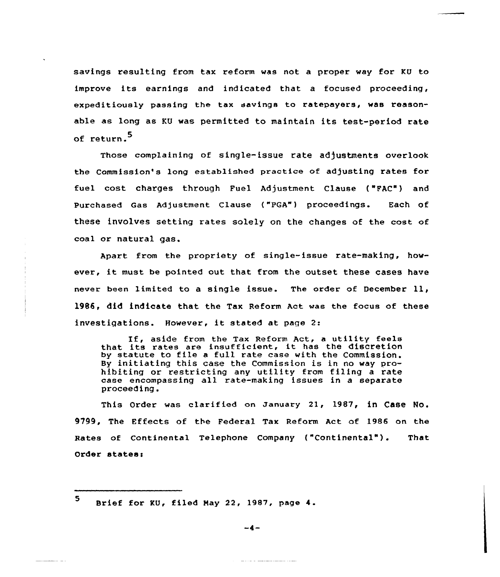savings resulting from tax reform was not a proper way for KU to improve its earnings and indicated that a focused proceeding, expeditiously passing the tax savings to ratepayers, was reasonable as long as KU was permitted to maintain its test-period rate of return.<sup>5</sup>

These complaining of single-issue rate adjustments overlook the Commission's long established practice of. adjusting rates for fuel cost charges through Fuel Adjustment Clause ("FAC") and Purchased Gas Adjustment Clause ("PGA") proceedings. Each of these involves setting rates solely on the changes of the cost of coal or natural gas.

Apart from the propriety of single-issue rate-making, however, it must be pointed out that from the outset these cases have never been limited to <sup>a</sup> single issue. The order of December ll, 1986, did indicate that the Tax Reform Act was the focus of these investigations. However, it stated at page 2:

If, aside from the Tax Reform Act, <sup>a</sup> utility feels It, aside from the Tax Reform Act, a utility feel<br>that its rates are insufficient, it has the discretion by statute to file <sup>a</sup> full rate case with the Commission. By initiating this case the Commission is in no way prohibiting or restricting any utility from filing a rate case encompassing all rate-making issues in <sup>a</sup> separate proceeding.

This Order was clarified on January 21, 1987, in Case No. 9799, The Effects of the Federal Tax Reform Act of 1986 on the Rates of Continental Telephone Company ("Continental"). That Order states'

<sup>5.</sup> Brief for KU, filed Nay 22, 1987, page 4.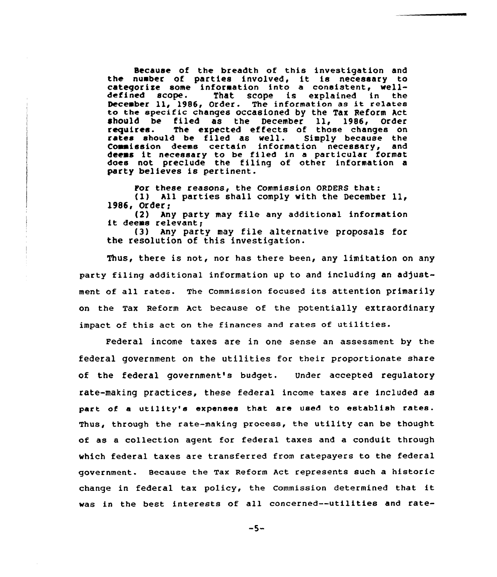Because of the breadth of this investigation and the number of parties involved, it is neceseary to categorize some information into a consistent, well-<br>defined scope. That scope is explained in the defined scope. That scope is explained in the<br>December 11, 1986, Order. The information as it relates to the specific changes occasioned by the Tax Reform Act should be filed as the December 11, 1986, Order<br>requires. The expected effects of those changes on The expected effects of those changes on rates should be filed as well. Simply because the commission deems certain information necessary, and deems it necessary to be filed in <sup>a</sup> particular format does not preclude the filing of other information a party believes is pertinent.

For these reasons, the Commission ORDERS that:

(1) All parties shall comply with the December 11, 1986, Order;

(2) Any party may file any additional information it deems relevant;

(3) Any party may file alternative proposals for the resolution of this investigation.

Thus, there is not, nor has there been, any limitation on any party filing additional information up to and including an adjustment of all rates. The commission focused its attention primarily on the Tax Reform Act because of the potentially extraordinary impact of this act on the finances and rates of utilities.

Federal income taxes are in one sense an assessment by the federal government on the utilities for their proportionate share of the federal government's budget. Under accepted regulatory rate-making practices, these federal income taxes are included as part of <sup>a</sup> utility'e expeneee that are used to establish rates. Thus, through the rate-making process, the utility can be thought. of as a collection agent for federal taxes and a conduit through which federal taxes are transferred from ratepayers to the federal government. Because the Tax Reform Act represents such a historic change in federal tax policy, the Commission determined that it was in the best interests of all concerned--utilities and rate-

 $-5-$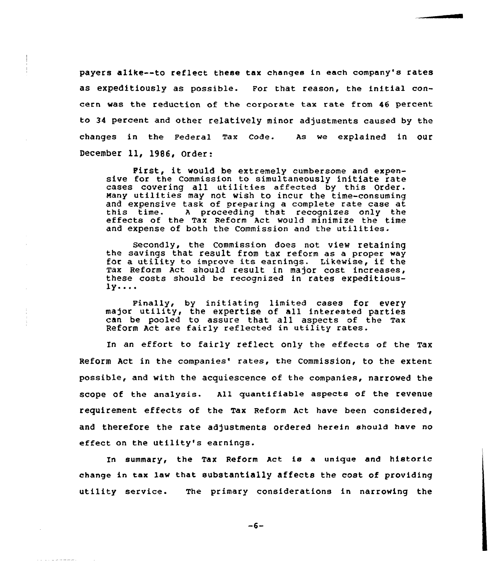payers alike--to reflect these tax changes in each company's rates as expeditiously as possible. For that reason, the initial concern was the reduction of the corporate tax rate from 46 percent to 34 percent and other relatively minor adjustments caused by the changes in the Federal Tax code. As we explained in our December ll, l986, Order:

First, it would be extremely cumbersome and expensive for the Commission to simultaneously initiate rate cases covering all utilities affected by this Order. Many utilities may not wish to incur the time-consuming and expensive task of preparing a complete rate case at this time. A proceeding that recognizes only the effects of the Tax Reform Act would minimize the time and expense of both the Commission and the utilities.

Secondly, the Commission does not view retaining the savings that result from tax reform as <sup>a</sup> proper way for a utility to improve its earnings. Likewise, if the Tax Reform Act should result in major cost increases, these costs should be recognized in rates expeditious- $1y...$ 

Finally, by initiating limited cases for every major utility, the expertise of all interested partie can be pooled to assure that a11 aspects of the Tax Reform Act are fairly reflected in utility rates.

In an effort to fairly reflect only the effects of the Tax Reform Act in the companies' rates, the Commission, to the extent possible, and with the acquiescence of the companies, narrowed the scope of the analysis. All quantifiable aspects of the revenue requirement effects of the Tax Reform Act have been considered, and therefore the rate adjustments ordered herein should have no effect on the utility's earnings.

In summary, the Tax Reform Act ie a unique and historic change in tax law that substantially affects the cost of providing utility service. The primary considerations in narrowing the

 $-6-$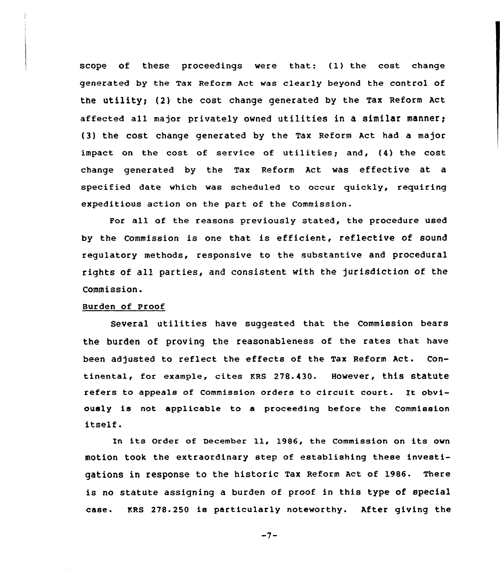scope of these proceedings were that: (1) the cost change generated by the Tax Reform Act was clearly beyond the control of the utility; (2) the cost change generated by the Tax Reform Act affected all major privately owned utilities in a similar manner) (3) the cost change generated by the Tax Reform Act had a major impact on the cost of service of utilities; and, (4) the cost change generated by the Tax Reform Act was effective at a specified date which was scheduled to occur quickly, requiring expeditious action on the part of the Commission.

For all of the reasons previously stated, the procedure used by the Commission is one that is efficient, reflective of sound regulatory methods, responsive to the substantive and procedural rights of all parties, and consistent with the jurisdiction of the Commission.

#### Burden of proof

Several utilities have suggested that the Commission bears the burden of proving the reasonableness of the rates that have been adjusted to reflect the effects of the Tax Reform Act. Continental, for example, cites KRB 278.430. However, this statute refers to appeals of Commission orders to circuit court. It obviously is not applicable to a proceeding before the Commission itself.

In its Order of December 11, 1986, the Commission on its own motion took the extraordinary step of establishing these investigations in response to the historic Tax Reform Act of 1986. There is no statute assigning a burden of proof in this type of special case. KRS 278.250 ie particularly noteworthy. After giving the

 $-7-$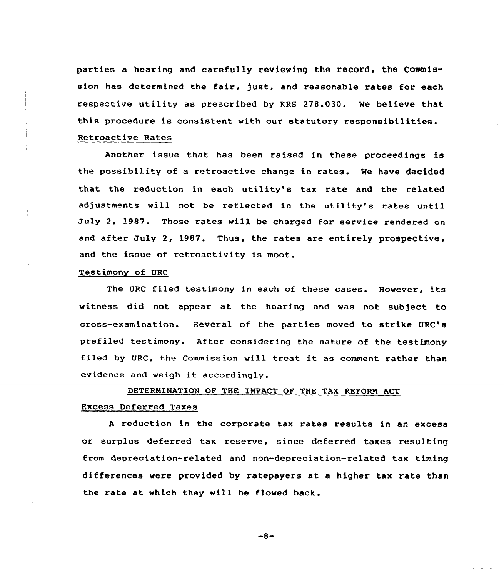parties a hearing and carefully reviewing the record, the Commission has determined the fair, just, and reasonable rates for each respective utility as prescribed by KRS 278.030. We believe that this procedure is consistent with our statutory responsibilities.

Retroactive Rates

Another issue that has been raised in these proceedings is the possibility of a retroactive change in rates. We have decided that the reduction in each utility's tax rate and the related adjustments will not be reflected in the utility's rates until July 2. 1987. Those rates will be charged for service rendered on and after July 2, 1987. Thus, the rates are entirely prospective, and the issue of retroactivity is moot.

### Testimony of URC

The URC filed testimony in each of these cases. However, its witness did not appear at the hearing and vas not subject to cross-examination. Several of the parties moved to strike URC's prefiled testimony. After considering the nature of the testimony filed by URC, the Commission will treat it as comment rather than evidence and weigh it accordingly.

# DETERMINATION OF THE IMPACT OF THE TAX REFORM ACT Excess Deferred Taxes

<sup>A</sup> reduction in the corporate tax rates results in an excess or surplus deferred tax reserve, since deferred taxes resulting from depreciation-related and non-depreciation-related tax timing differences were provided by ratepayers at a higher tax rate than the rate at which they vill be flowed back.

 $-8-$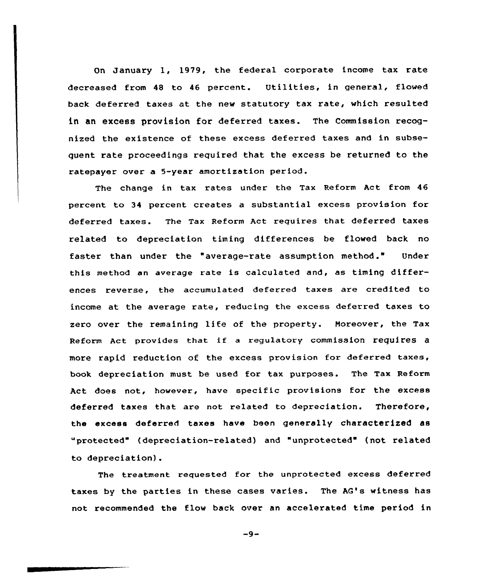On January 1, 1979, the federal corporate income tax rate decreased from <sup>48</sup> to <sup>46</sup> percent. Utilities, in general, flowed back deferred taxes at the new statutory tax rate, which resulted in an excess provision for deferred taxes. The Commission recognized the existence of these excess deferred taxes and in subsequent rate proceedings required that the excess be returned to the ratepayer over a 5-year amortization period.

The change in tax rates under the Tax Reform Act from 46 percent to 34 percent creates a substantial excess provision for deferred taxes. The Tax Reform Act requires that deferred taxes related to depreciation timing differences be flowed back no faster than under the "average-rate assumption method." Under this method an average rate is calculated and, as timing differences reverse, the accumulated deferred taxes are credited to income at the average rate, reducing the excess deferred taxes to zero over the remaining life of the property. Moreover, the Tax Reform Act provides that if <sup>a</sup> regulatory commission requires <sup>a</sup> more rapid reduction of the excess provision for deferred taxes, book depreciation must be used for tax purposes. The Tax Reform Act does not, however, have specific provisions for the excess deferred taxes that are not related to depreciation. Therefore, the excess deferred taxes have been generally characterized as "protected" (depreciation-related) and "unprotected" (not related to depreciation).

The treatment requested for the unprotected excess deferred taxes by the parties in these cases varies. The AG's witness has not recommended the flow back over an accelerated time period in

 $-9-$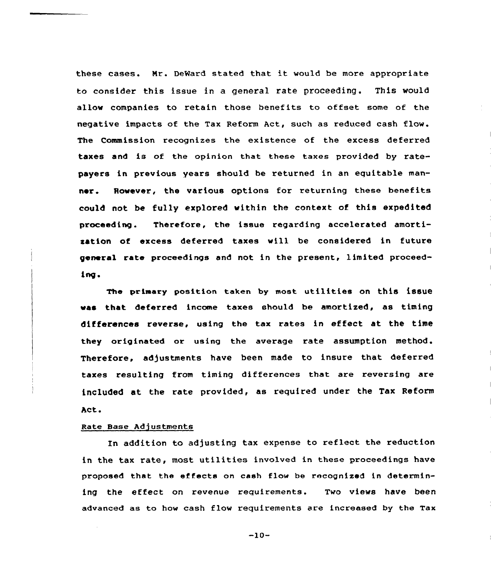these cases. Nr. DeWard stated that it would be more appropriate to consider this issue in a general rate proceeding. This would allow companies to retain those benefits to offset some of the negative impacts of the Tax Reform Act, such as reduced cash flow. The Commission recognizes the existence of the excess deferred taxes and is of the opinion that these taxes provided by ratepayers in previous years should be returned in an eguitable manner. Rovever, the various options for returning these benefits could not be fully explored vithin the context of this expedited proceeding. Therefore, the issue regarding accelerated amortization of excess deferred taxes will be considered in future general rate proceedings and not in the present, limited proceedtng.

The primary position taken by most utilities on this issue vas that deferred income taxes should be amortized, as timing differences reverse, using the tax rates in effect at the time they originated or using the average rate assumption method. Therefore, adjustments have been made to insure that deferred taxes resulting from timing differences that are reversing are included at the rate provided, as reguired under the Tax Reform Act.

#### Rate Base Adjustments

In addition to adjusting tax expense to reflect the reduction in the tax rate, most utilities involved in these proceedings have proposed that the effects on cash flow be recognized in determining the effect on revenue requirements. Two views have been advanced as to how cash flow requirements are increased by the Tax

 $-10-$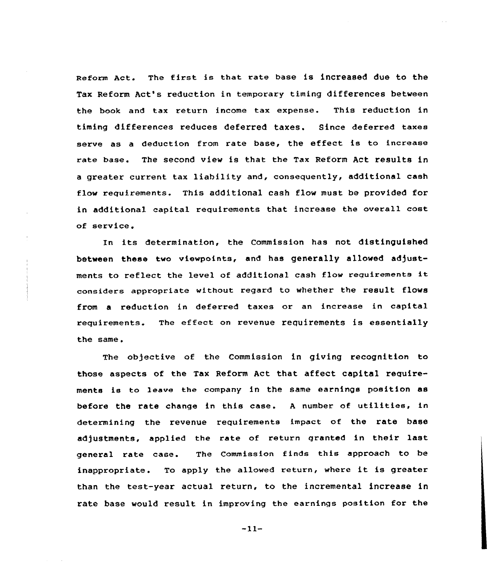Reform Act. The first is that rate base is increased due to the Tax Reform Act's reduction in temporary timing differences between the book and tax return income tax expense. This reduction in timing differences reduces deferred taxes. Since deferred taxes serve as <sup>a</sup> deduction from rate base, the effect is to increase rate base. The second view is that the Tax Reform Act results in <sup>a</sup> greater current tax liability and, consequently, additional cash flow requirements. This additional cash flow must be provided for in additional capital requirements that increase the overall cost of service.

In its determination, the Commission has not distinguished between these two viewpoints, and has generally allowed adjustments to reflect the level of additional cash flow reguirements it considers appropriate without regard to whether the result flows from a reduction in deferred taxes or an increase in capital requirements. The effect on revenue requirements is essentially the same.

The objective of the Commission in giving recognition to those aspects of the Tax Reform Act that affect capital requirements is to leave the company in the same earnings position as before the rate change in this case. <sup>A</sup> number of utilities, in determining the revenue requirements impact of the rate base adjustments, applied the rate of return granted in their last general rate case. The Commission finds this approach to be inappropriate. To apply the allowed return, where it is greater than the test-year actual return, to the incremental increase in rate base would result in improving the earnings position for the

—11-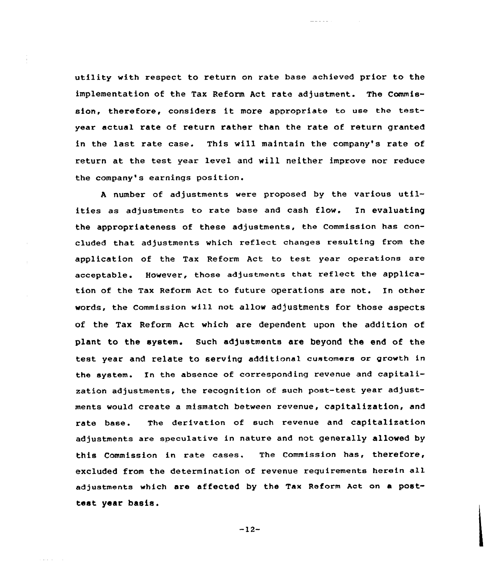utility with respect to return on rate base achieved prior to the implementation of the Tax Reform Act rate adjustment. The Commission, therefore, considers it more appropriate to use the testyear actual rate of return rather than the rate of return granted in the last rate case. This will maintain the company's rate of return at the test year level and will neither improve nor reduce the company's earnings position.

aaa aa

<sup>A</sup> number of adjustments were proposed by the various utilities as adjustments to rate base and cash flow. In evaluating the appropriateness of these adjustments, the Commission has concluded that adjustments which reflect changes resulting from the application of the Tax Reform Act to test year operations are acceptable. However, those adjustments that reflect the application of the Tax Reform Act to future operations are not. In other words, the Commission will not allow adjustments for those aspects of the Tax Reform Act which are dependent upon the addition of plant to the system. Such adjustments are beyond the end of the test year and relate to serving additional customers or growth in the system. In the absence of corresponding revenue and capitalization adjustments, the recognition of such post-test year adjustments would create a mismatch between revenue, capitalization, and rate base. The derivation of such revenue and capitalization adjustments are speculative in nature and not generally allowed by this Commission in rate cases. The Commission has, therefore, excluded from the determination of revenue requirements herein all adjustments which are affected by the Tax Reform Act on a posttest year basis.

—12-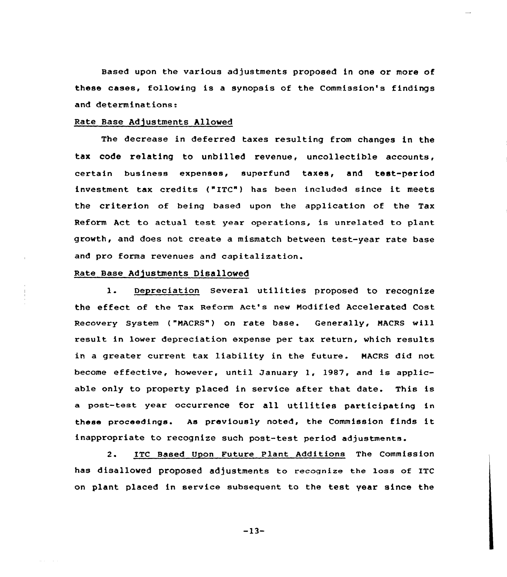Based upon the various ad justments proposed in one or more of these cases, following is a synopsis of the Commission's findings and determinations:

#### Rate Base Adjustments Allowed

The decrease in deferred taxes resulting from changes in the tax code relating to unbilled revenue, uncollectible accounts, certain business expenses, superfund taxes, and test-period investment tax credits ("ITC") has been included since it meets the criterion of being based upon the application of the Tax Reform Act to actual test year operations, is unrelated to plant growth, and does not create a mismatch between test-year rate base and pro forma revenues and capitalization.

### Rate Base Adjustments Disallowed

1. Depreciation Several utilities proposed to recognize the effect of the Tax Reform Act's new Modified Accelerated Cost Recovery System ("MACRS") on rate base. Generally, MACRS will result in lower depreciation expense per tax return, which results in a greater current tax liability in the future. HACRS did not become effective, however, until January 1, 1987, and is applicable only to property placed in service after that date. This is a post-test year occurrence for all utilities participating in these proceedings. As previously noted, the Commission finds it inappropriate to recognize such post-test period adjustments.

2. ITC Based Upon Future Plant Additions The Commission has disallowed proposed adjustments to recognize the loss of ITC on plant placed in service subsequent to the test year since the

 $-13-$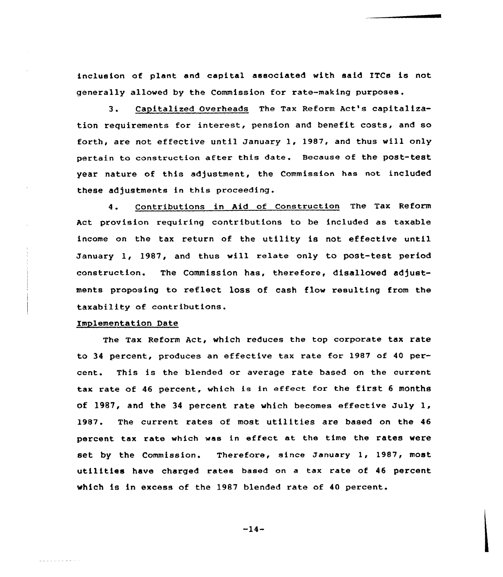inclusion of plant and capital associated with said ITCs is not generally allowed by the Commission for rate-making purposes.

3. Capitalized Overheads The Tax Reform Act's capitalization requirements for interest, pension and benefit costs, and so forth, are not effective until January 1, 1987, and thus will only pertain to construction after this date. Because of the post-test year nature of this adjustment, the Commission has not included these adjustments in this proceeding.

4. Contributions in Aid of Construction The Tax Reform Act provision requiring contributions to be included as taxable income on the tax return of the utility is not effective until January 1, 1987, and thus will relate only to post-test period construction. The Commission has, therefore, disallowed adjustments proposing to reflect loss of cash flow resulting from the taxability of contributions.

#### implementation Date

المستقل والوامر والواطرة

The Tax Reform Act, which reduces the top corporate tax rate to 34 percent, produces an effective tax rate for 1987 of 40 percent. This is the blended or average rate based on the current tax rate of <sup>46</sup> percent, which is in effect for the first <sup>6</sup> months of l987, and the <sup>34</sup> percent rate which becomes effective July 1, 1987. The current rates of moat utilities are based on the <sup>46</sup> percent tax rate which was in effect at the time the rates were set by the Commission. Therefore, since January 1, 1987, most utilities have charged rates based on a tax rate of <sup>46</sup> percent which is in excess of the 1987 blended rate of 40 percent.

 $-14-$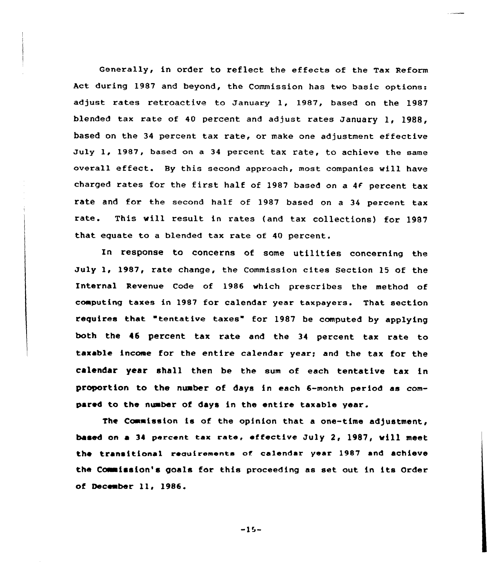Generally, in order to reflect the effects of the Tax Reform Act during 1987 and beyond, the Commission has two basic options: adjust rates retroactive to January 1, 1987, based on the 19S7 blended tax rate of <sup>40</sup> percent and adjust rates January 1, 1988, based on the 34 percent tax rate, or make one adjustment effective July 1, 1987, based on a 34 percent tax rate, to achieve the same overall effect. By this second approach, mast companies will have charged rates for the first half of 1987 based on a 4f percent tax rate and for the second half of 1987 based on a 34 percent tax rate. This will result in rates (and tax collections) for 1987 that equate to a blended tax rate of 40 percent.

In response to concerns of some utilities concerning the July 1, 1987, rate change, the Commission cites Section 15 of the Internal Revenue Code of 1986 which prescribes the method of computing taxes in 19S7 for calendar year taxpayers. That section requires that "tentative taxes" for 1987 be computed by applying both the 46 percent tax rate and the 34 percent tax rate to taxable income for the entire calendar year; and the tax for the calendar year shall then be the sum af each tentative tax in proportion to the nuaber of days in each 6-month period as compared to the nuaber of days in the entire taxable year.

The Commission is of the opinion that a one-time adjustment, based on a 34 percent tax rate, effective July 2, 1987, will meet the transitional reauirements of calendar year 1987 and achieve the Commission's goals for this proceeding as set out in its Order of December 11, 1986.

 $-15-$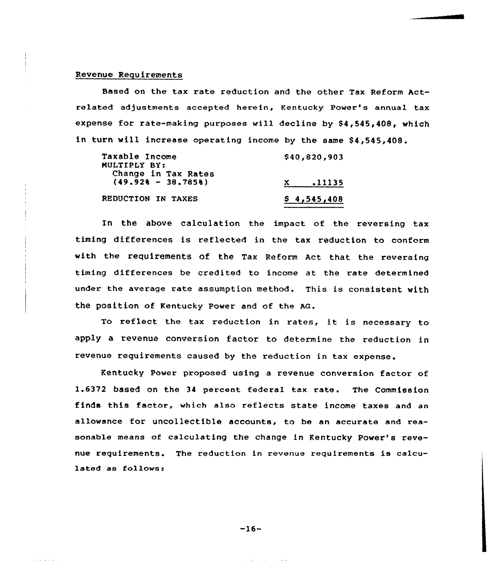### Revenue Requirements

Based on the tax rate reduction and the other Tax Reform Actrelated adjustments accepted herein, Kentucky Power's annual tax expense for rate-making purposes will decline by \$4,545,408, which in turn will increase operating income by the same \$4,545,408.

| Taxable Income       | \$40,820,903 |
|----------------------|--------------|
| MULTIPLY BY:         |              |
| Change in Tax Rates  |              |
| $(49.928 - 38.7858)$ | .11135<br>X. |
| REDUCTION IN TAXES   | \$4,545,408  |

In the above calculation the impact of the reversing tax timing differences is reflected in the tax reduction to conform with the requirements of the Tax Reform Act that the reversing timing differences be credited to income at the rate determined under the average rate assumption method. This is consistent with the position of Kentucky Power and of the AG.

To reflect the tax reduction in rates, it is necessary to apply a revenue conversion factor to determine the reduction in revenue requirements caused by the reduction in tax expense.

Kentucky Power proposed using a revenue conversion factor of 1.6372 based on the 34 percent federal tax rate. The Commission finds this factor, which also reflects state income taxes and an allowance for uncollectible accounts, to be an accurate and reasonable means of calculating the change in Kentucky Power's revenue requirements. The reduction in revenue requirements is calculated as follows:

 $-16-$ 

بفاعل والمستحدث والفا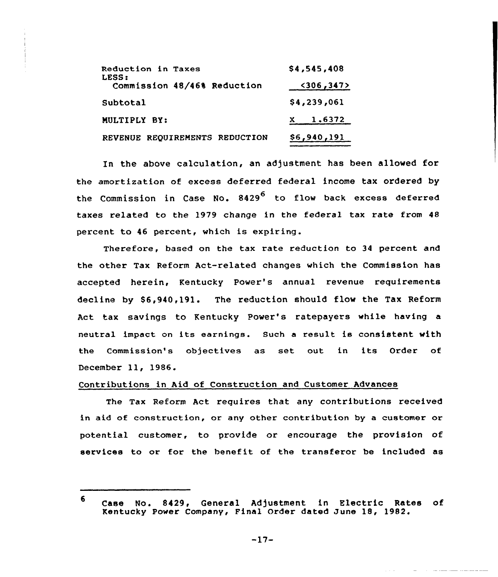| Reduction in Taxes<br>LESS:    | \$4,545,408   |
|--------------------------------|---------------|
| Commission 48/46% Reduction    | $<$ 306, 347> |
| Subtotal                       | \$4,239,061   |
| MULTIPLY BY:                   | $x = 1.6372$  |
| REVENUE REQUIREMENTS REDUCTION | \$6,940,191   |

In the above calculation, an adjustment has been allowed for the amortization of excess deferred federal income tax ordered by the Commission in Case No.  $8429^6$  to flow back excess deferred taxes related to the 1979 change in the federal tax rate from 48 percent to 46 percent, which is expiring.

Therefore, based on the tax rate reduction to 34 percent and the other Tax Reform Act-related changes which the Commission has accepted herein, Kentucky Power's annual revenue requirements decline by \$6,940,191. The reduction should flow the Tax Reform Act tax savings to Kentucky Power's ratepayers while having a neutral impact on its earnings. Such <sup>a</sup> result is consistent with the Commission's objectives as set out in its Order of December ll, 1986.

# Contributions in Aid of Construction and Customer Advances

The Tax Reform Act requires that any contributions received in aid of construction, or any other contribution by a customer or potential customer, to provide or encourage the provision of services to or for the benefit of the transferor be included as

<sup>6</sup> Case No. 8429, General Adjustment in Electric Rates of Kentucky Power Company, Final Order dated June 18, 1982.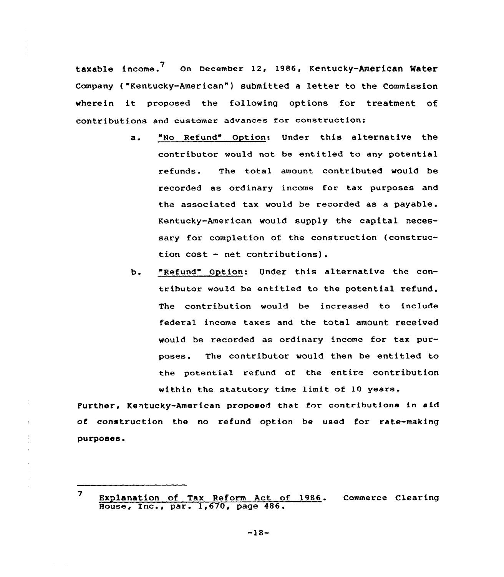taxable income.<sup>7</sup> On December 12, 1986, Kentucky-American Water Company ( "Kentucky-American" ) submitted a letter to the Commission wherein it proposed the following options for treatment of contributions and customer advances for construction:

- a. "No Refund" Option: Under this alternative the contributor would not be entitled to any potential refunds. The total amount contributed would be recorded as ordinary income for tax purposes and the associated tax would be recorded as a payable. Kentucky-American would supply the capital necessary for completion of the construction (construction cost - net contributions).
- b. "Refund" Option: Under this alternative the contributor would be entitled to the potential refund. The contribution would be increased to include federal income taxes and the total amount received would be recorded as ordinary income for tax purposes. The contributor would then be entitled to the potential refund of the entire contribution within the statutory time limit of 10 years.

Purther, Kentucky-American proposed that for contributions in aid of construction the no refund option be used for rate-making purposes.

<sup>7</sup> Explanation of Tax Reform Act of <sup>1986</sup> . commerce Clearing House, Inc., par. 1,670, page 486.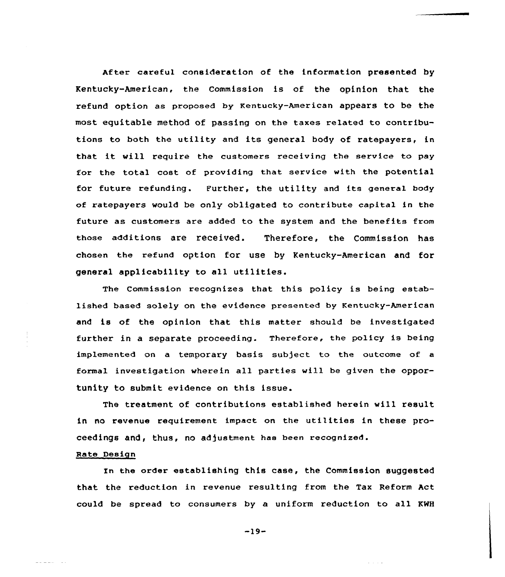After careful consideration of the information presented by Kentucky-American, the Commission is of the opinion that the refund option as proposed by Kentucky-American appears to be the most eguitable method of passing on the taxes related to contributions to both the utility and its general body of ratepayers, in that it will require the customers receiving the service to pay for the total cost of providing that service with the potential for future refunding. Further, the utility and its general body of ratepayers would be only obligated to contribute capital in the future as customers are added to the system and the benefits from those additions are received. Therefore, the Commission has chosen the refund option for use by Kentucky-American and for general applicability to all utilities.

The Commission recognizes that this policy is being established based solely on the evidence presented by Kentucky-American and is of the opinion that this matter should be investigated further in a separate proceeding. Therefore, the policy is being implemented on a temporary basis subject to the outcome of a formal investigation wherein all parties will be given the opportunity to submit evidence on this issue.

The treatment of contributions established herein will result in no revenue requirement impact on the utilities in these proceedings and, thus, no adjustment has been recognized.

### Rate Design

In the order establishing this case, the Commission suggested that the reduction in revenue resulting from the Tax Reform Act could be spread to consumers by a uniform reduction to all KNH

-19-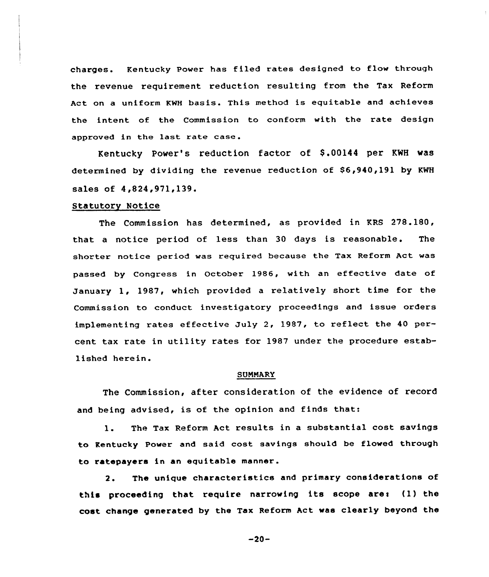charges. Kentucky Power has filed rates designed to flow through the revenue requirement reduction resulting from the Tax Reform Act on a uniform KNH basis. This method is equitable and achieves the intent of the Commission to conform with the rate design approved in the last rate case .

Kentucky Power's reduction factor of \$ .00144 per KWH was determined by dividing the revenue reduction of \$6,940,191 by KWH sales of 4,824,971,139.

#### Statutory Notice

The Commission has determined, as provided in KRS 278.180, that a notice period of less than 30 days is reasonable. The shorter notice period was required because the Tax Reform Act was passed by Congress in October 1986, with an effective date of January 1, 1987, which provided <sup>a</sup> relatively short time for the Commission to conduct investigatory proceedings and issue oxders implementing rates effective July 2, 1987, to reflect the 40 percent tax rate in utility rates for 1987 under the procedure established herein.

### SUMMARY

The Commission, after consideration of the evidence of record and being advised, is ot the opinion and finds that:

l. The Tax Reform Act results in <sup>a</sup> substantial cost savings to Kentucky Power and said cost savings should be flowed through to ratepayers in an equitable manner.

2. The unique characteristics and primary considerations of this proceeding that require narrowing its scope are: (1) the cost change generated by the Tax Reform Act was clearly beyond the

-20-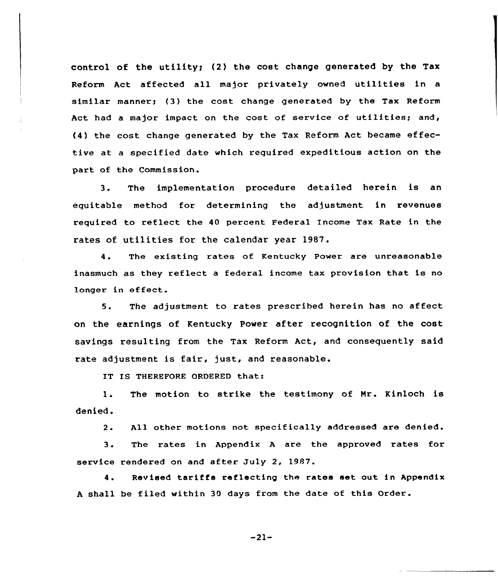control of the utility; (2) the cost change generated by the Tax Reform Act affected all major privately owned utilities in <sup>a</sup> similar manner; (3) the cost change generated by the Tax Reform Act had <sup>a</sup> major impact on the cost of service of utilities; and, (4) the cost change generated by the Tax Reform Act became effective at a specified date which required expeditious action on the part of the Commission.

3. The implementation procedure detailed herein is an equitable method for determining the adjustment in revenues required to reflect the 40 percent Federal Income Tax Rate in the rates of utilities for the calendar year 1987.

4. The existing rates of Kentucky Power are unreasonable inasmuch as they reflect <sup>a</sup> federal income tax provision that is no longer in effect.

5. The adjustment to rates prescribed herein has no affect on the earnings of Kentucky Power after recognition of the cost savings resulting from the Tax Reform Act, and consequently said rate adjustment is fair, just, and reasonable.

IT IS THEREFORE ORDERED that:

The motion to strike the testimony of Mr. Kinloch is  $1.$ denied.

 $2$ . All other motions not specifically addressed are denied.

 $3$ . The rates in Appendix <sup>A</sup> are the approved rates for service rendered on and after July 2, 1987.

4. Revised tariffs reflecting the rates set out in Appendix <sup>A</sup> shall be filed within 39 days from the date of this Order.

 $-21-$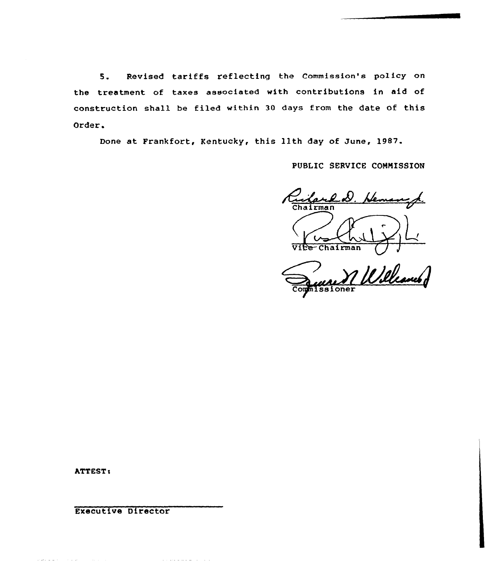5. Revised tariffs reflecting the Commission's policy on the treatment of taxes associated with contributions in aid of construction shall be filed within 30 days from the date of this Order.

Done at Frankfort, Kentucky, this 11th day of June, 1987.

PUBLIC SERVICE COHNISSION

Ruilard D. Hemangh Vice-Chairman

111.02 nissioner

ATTEST <sup>s</sup>

 $\label{eq:1} \mathcal{L}(\omega) = \omega(\omega) \left( \left( \begin{array}{cc} 1 & \omega & \omega \\ \omega & 1 & \omega \end{array} \right) \right) \quad \text{and} \quad \mathcal{L}(\omega) = \left( \begin{array}{cc} 1 & \omega & \omega \\ \omega & 1 & \omega \end{array} \right) \,.$ 

Executive Director

 $\alpha$  is a constraint for  $\alpha$  . Then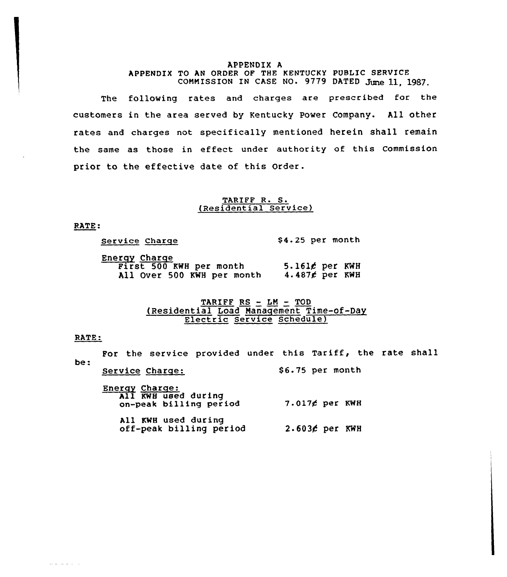### APPENDIX <sup>A</sup> APPENDIX TO AN ORDER OF THE KENTUCKY PUBLIC SERVICE COMMISSION IN CASE NO. 9779 DATED June 11, 1987.

The following rates and charges are prescribed for the customers in the area served by Kentucky Power Company. All other rates and charges not specifically mentioned herein shall remain the same as those in effect under authority of this Commission prior to the effective date of this Order.

# TARIFF R. S. (Residential Service)

RATE:

| Service Charge |  | $$4.25$ per month |  |
|----------------|--|-------------------|--|
| Dharau Charac  |  |                   |  |

| <u>Energy Charge</u>    |  |  |                            |                        |  |
|-------------------------|--|--|----------------------------|------------------------|--|
| First 500 KWH per month |  |  |                            | $5.161$ g per KWH      |  |
|                         |  |  | All Over 500 KWH per month | 4.487 $\notin$ per KWH |  |

# TARIFF  $RS$  -  $LM$  -  $TOD$ (Residential Load Nanaqement Time-of-Day Electric Service Schedule3

### RATE:

 $\omega = \omega = \omega/\omega$ 

For the service provided under this Tariff, the rate shall<br>be: Service Charge: Energy Charge. All KWH used durin on-peak billing period 7.017 per KWH All KWH used during off-peak billing period 2.6034 per KWH\$ 6.75 per month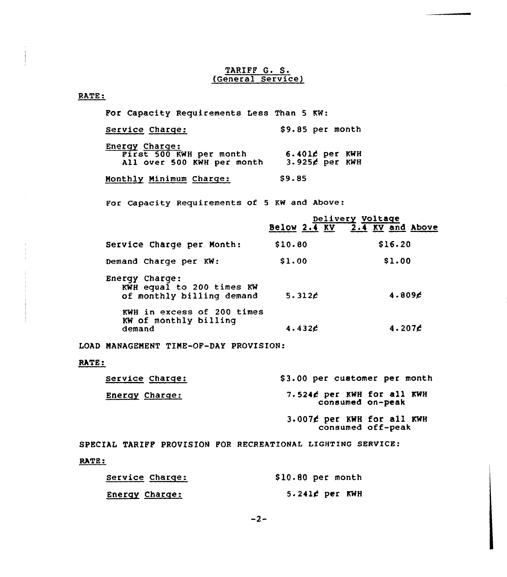# TARIFF G. S. (General Service)

# RATE:

For Capacity Requirements Less Than 5 KW:

| Service Charge:                                                         | \$9.85 per month                   |
|-------------------------------------------------------------------------|------------------------------------|
| Energy Charge:<br>First 500 KWH per month<br>All over 500 KWH per month | 6.401¢ per KWH<br>$3.925f$ per KWH |

Monthly Minimum Charge: \$9.85

For Capacity Requirements of <sup>5</sup> KW and Above:

|                                                                          |         | Delivery Voltage<br>Below 2.4 KV 2.4 KV and Above |
|--------------------------------------------------------------------------|---------|---------------------------------------------------|
|                                                                          |         |                                                   |
| Service Charge per Month:                                                | \$10.80 | \$16.20                                           |
| Demand Charge per KW:                                                    | \$1.00  | \$1.00                                            |
| Energy Charge:<br>KWH equal to 200 times KW<br>of monthly billing demand | 5.312c  | 4.809 <sub>c</sub>                                |
| KWH in excess of 200 times<br>KW of monthly billing<br>demand            | 4.432c  | 4.207 <sub>c</sub>                                |

LOAD MANAGEMENT TINE-OF-DAY PROVISION:

# RATE:

| Service Charge:       | \$3.00 per customer per month                           |
|-----------------------|---------------------------------------------------------|
| <b>Energy Charge:</b> | 7.524¢ per KWH for all KWH<br>consumed on-peak          |
|                       | $3.007$ $\ell$ per KWH for all KWH<br>consumed off-peak |

SPECIAL TARIFF PROVISION FOR RECREATIONAL LIGHTING SERVICE: RATE:

| Service Charge: | $$10.80$ per month |
|-----------------|--------------------|
| Energy Charge:  | $5.241$ ¢ per KWH  |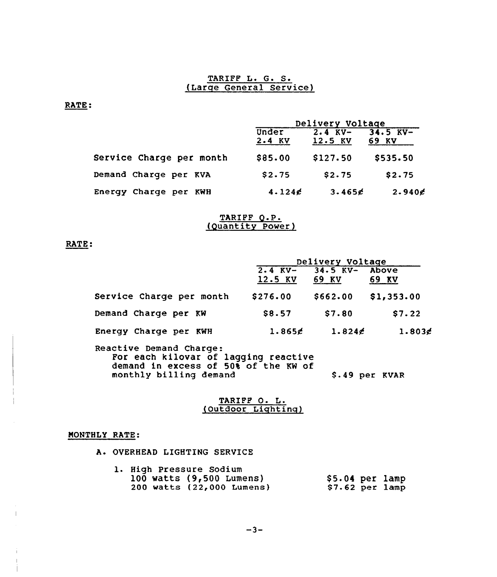# TARIFF L. G. S. (Large General Service)

RATE:

|                          | Delivery Voltage |                        |                     |
|--------------------------|------------------|------------------------|---------------------|
|                          | Under<br>2.4 KV  | $2.4$ KV-<br>$12.5$ KV | $34.5$ KV-<br>69 KV |
| Service Charge per month | \$85.00          | \$127.50               | \$535.50            |
| Demand Charge per KVA    | \$2.75           | \$2.75                 | \$2.75              |
| Energy Charge per KWH    | 4.124c           | 3.465 $\epsilon$       | 2.940               |

### TARIPF Q.P. (Quantity power)

# RATE:

|                                      |          | Delivery Voltage           |                |
|--------------------------------------|----------|----------------------------|----------------|
|                                      |          | $2.4$ KV- $34.5$ KV- Above |                |
|                                      | 12.5 KV  | 69 KV                      | 69 KV          |
| Service Charge per month             | \$276.00 | \$662.00                   | \$1,353.00     |
| Demand Charge per KW                 | \$8.57   | \$7.80                     | \$7.22         |
| Energy Charge per KWH                | 1.865g   | 1.824                      | $1.803$ g      |
| Reactive Demand Charge:              |          |                            |                |
| For each kilovar of lagging reactive |          |                            |                |
| demand in excess of 50% of the KW of |          |                            |                |
| monthly billing demand               |          |                            | \$.49 per KVAR |

# TARIFF O. L. (Outdoor Lighting)

# MONTHLY RATE:

 $\mathbb T$ 

A. OVERHEAD LIGHTING SERVICE

| 1. High Pressure Sodium    |                  |  |
|----------------------------|------------------|--|
| 100 watts $(9,500$ Lumens) | \$5.04 per lamp  |  |
| 200 watts (22,000 Lumens)  | $$7.62$ per lamp |  |

 $-3-$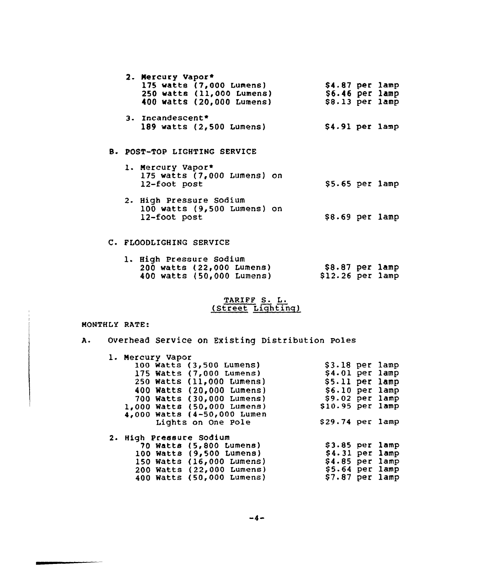|  | 2. Mercury Vapor*                             |                  |  |
|--|-----------------------------------------------|------------------|--|
|  | 175 watts (7,000 Lumens)                      | $$4.87$ per lamp |  |
|  | 250 watts (11,000 Lumens)                     | $$6.46$ per lamp |  |
|  | 400 watts (20,000 Lumens)                     | $$8.13$ per lamp |  |
|  | 3. Incandescent*                              |                  |  |
|  | 189 watts (2,500 Lumens)                      | $$4.91$ per lamp |  |
|  |                                               |                  |  |
|  | B. POST-TOP LIGHTING SERVICE                  |                  |  |
|  | 1. Mercury Vapor*                             |                  |  |
|  | 175 watts $(7,000$ Lumens) on<br>12-foot post | $$5.65$ per lamp |  |
|  |                                               |                  |  |
|  | 2. High Pressure Sodium                       |                  |  |
|  | 100 watts (9,500 Lumens) on                   |                  |  |
|  | 12-foot post                                  | \$8.69 per lamp  |  |
|  |                                               |                  |  |

# C. FLOODLIGHING SERVICE

| <b>1. High Pressure Sodium</b> |                   |  |
|--------------------------------|-------------------|--|
| 200 watts (22,000 Lumens)      | $$8.87$ per lamp  |  |
| 400 watts (50,000 Lumens)      | $$12.26$ per lamp |  |

# TARIFF S. (Street Lighting

# MONTHLY RATE:

 $\overline{a}$ 

| Α. |  |  |  |  | Overhead Service on Existing Distribution Poles |  |
|----|--|--|--|--|-------------------------------------------------|--|
|----|--|--|--|--|-------------------------------------------------|--|

| 4,000 Watts (4-50,000 Lumen |                                                                                                                                                                                                                             |                                                                                                                                                                                                                                              |
|-----------------------------|-----------------------------------------------------------------------------------------------------------------------------------------------------------------------------------------------------------------------------|----------------------------------------------------------------------------------------------------------------------------------------------------------------------------------------------------------------------------------------------|
| Lights on One Pole          |                                                                                                                                                                                                                             |                                                                                                                                                                                                                                              |
| 2. High Pressure Sodium     |                                                                                                                                                                                                                             |                                                                                                                                                                                                                                              |
| 70 Watts (5,800 Lumens)     |                                                                                                                                                                                                                             |                                                                                                                                                                                                                                              |
| 100 Watts (9,500 Lumens)    |                                                                                                                                                                                                                             |                                                                                                                                                                                                                                              |
| 150 Watts (16,000 Lumens)   |                                                                                                                                                                                                                             |                                                                                                                                                                                                                                              |
| 200 Watts (22,000 Lumens)   |                                                                                                                                                                                                                             |                                                                                                                                                                                                                                              |
|                             |                                                                                                                                                                                                                             |                                                                                                                                                                                                                                              |
|                             | 1. Mercury Vapor<br>100 Watts (3,500 Lumens)<br>175 Watts (7,000 Lumens)<br>250 Watts (11,000 Lumens)<br>400 Watts (20,000 Lumens)<br>700 Watts (30,000 Lumens)<br>1,000 Watts (50,000 Lumens)<br>400 Watts (50,000 Lumens) | $$3.18$ per lamp<br>$$4.01$ per lamp<br>\$5.11 per lamp<br>$$6.10$ per lamp<br>\$9.02 per lamp<br>$$10.95$ per lamp<br>$$29.74$ per lamp<br>$$3.85$ per lamp<br>$$4.31$ per lamp<br>$$4.85$ per lamp<br>$$5.64$ per lamp<br>$$7.87$ per lamp |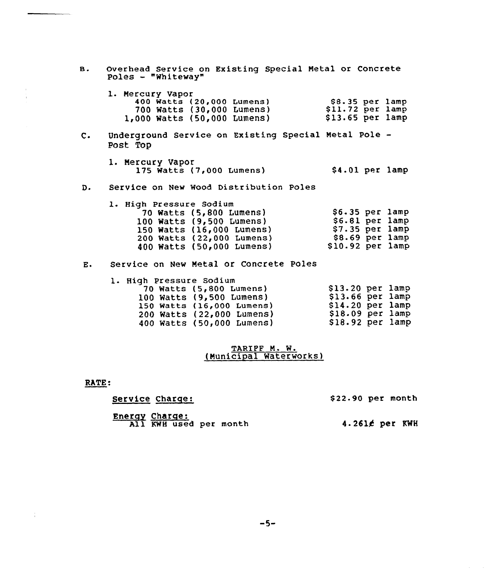|                | B. Overhead Service on Existing Special Metal or Concrete<br>Poles $-$ "Whiteway"                                                                                                                                                                 |                           |  |  |  |  |  |
|----------------|---------------------------------------------------------------------------------------------------------------------------------------------------------------------------------------------------------------------------------------------------|---------------------------|--|--|--|--|--|
|                | 1. Mercury Vapor<br>400 Watts (20,000 Lumens) \$8.35 per lamp<br>700 Watts (30,000 Lumens) \$11.72 per lamp<br>1,000 Watts (50,000 Lumens) \$13.65 per lamp                                                                                       |                           |  |  |  |  |  |
| $\mathsf{c}$ . | Underground Service on Existing Special Metal Pole -<br>Post Top                                                                                                                                                                                  |                           |  |  |  |  |  |
|                | 1. Mercury Vapor<br>175 Watts (7,000 Lumens)                                                                                                                                                                                                      | $$4.01$ per lamp          |  |  |  |  |  |
|                | D. Service on New Wood Distribution Poles                                                                                                                                                                                                         |                           |  |  |  |  |  |
|                | 1. High Pressure Sodium<br>70 Watts (5,800 Lumens) \$6.35 per lamp<br>100 Watts (9,500 Lumens) \$6.81 per lamp<br>150 Watts (16,000 Lumens) \$7.35 per lamp<br>200 Watts (22,000 Lumens) \$8.69 per lamp<br>400 Watts (50,000 Lumens)             | $$10.92\text{ per }1$ amp |  |  |  |  |  |
| E.             | Service on New Metal or Concrete Poles                                                                                                                                                                                                            |                           |  |  |  |  |  |
|                | 1. High Pressure Sodium<br>\$13.20 per lamp<br>\$13.66 per lamp<br>$70$ Watts (5,800 Lumens)<br>100 Watts (9,500 Lumens)<br>150 Watts (16,000 Lumens) \$14.20 per lamp<br>200 Watts (22,000 Lumens) \$18.09 per lamp<br>400 Watts (50,000 Lumens) | \$18.92~per~lamp          |  |  |  |  |  |

## TARIFF M. W. (Municipal Waterworks)

RATE:

 $\frac{1}{4}$  .

 $\pm$ 

Service Charge:

\$22.90 per month

Energy Charge: All KWH used per mont

4-2614 per KWH